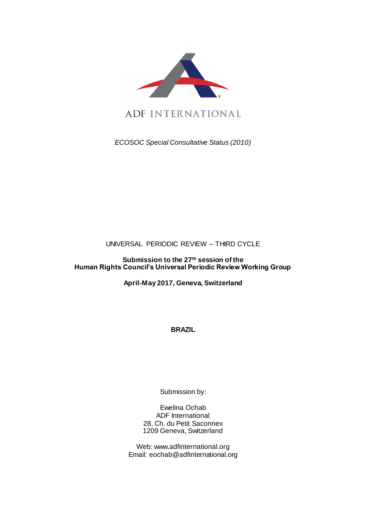

ADF INTERNATIONAL

*ECOSOC Special Consultative Status (2010)*

UNIVERSAL PERIODIC REVIEW – THIRD CYCLE

**Submission to the 27 th session of the Human Rights Council's Universal Periodic Review Working Group** 

**April-May 2017, Geneva, Switzerland**

**BRAZIL**

Submission by:

Ewelina Ochab ADF International 28, Ch. du Petit Saconnex 1209 Geneva, Switzerland

Web: www.adfinternational.org Email: eochab@adfinternational.org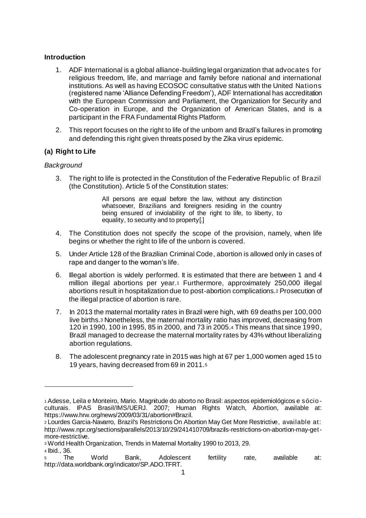### **Introduction**

- 1. ADF International is a global alliance-building legal organization that advocates for religious freedom, life, and marriage and family before national and international institutions. As well as having ECOSOC consultative status with the United Nations (registered name 'Alliance Defending Freedom'), ADF International has accreditation with the European Commission and Parliament, the Organization for Security and Co-operation in Europe, and the Organization of American States, and is a participant in the FRA Fundamental Rights Platform.
- 2. This report focuses on the right to life of the unborn and Brazil's failures in promoting and defending this right given threats posed by the Zika virus epidemic.

# **(a) Right to Life**

## *Background*

3. The right to life is protected in the Constitution of the Federative Republic of Brazil (the Constitution). Article 5 of the Constitution states:

> All persons are equal before the law, without any distinction whatsoever, Brazilians and foreigners residing in the country being ensured of inviolability of the right to life, to liberty, to equality, to security and to property[.]

- 4. The Constitution does not specify the scope of the provision, namely, when life begins or whether the right to life of the unborn is covered.
- 5. Under Article 128 of the Brazilian Criminal Code, abortion is allowed only in cases of rape and danger to the woman's life.
- 6. Illegal abortion is widely performed. It is estimated that there are between 1 and 4 million illegal abortions per year.<sup>1</sup> Furthermore, approximately 250,000 illegal abortions result in hospitalization due to post-abortion complications.<sup>2</sup> Prosecution of the illegal practice of abortion is rare.
- 7. In 2013 the maternal mortality rates in Brazil were high, with 69 deaths per 100,000 live births.<sup>3</sup> Nonetheless, the maternal mortality ratio has improved, decreasing from 120 in 1990, 100 in 1995, 85 in 2000, and 73 in 2005.<sup>4</sup> This means that since 1990, Brazil managed to decrease the maternal mortality rates by 43% without liberalizing abortion regulations.
- 8. The adolescent pregnancy rate in 2015 was high at 67 per 1,000 women aged 15 to 19 years, having decreased from 69 in 2011.<sup>5</sup>

<sup>4</sup> Ibid., 36.

 $\overline{a}$ 

<sup>1</sup> Adesse, Leila e Monteiro, Mario. Magnitude do aborto no Brasil: aspectos epidemiológicos e sócio culturais. IPAS Brasil/IMS/UERJ. 2007; Human Rights Watch, Abortion, available at: https://www.hrw.org/news/2009/03/31/abortion#Brazil.

<sup>2</sup> Lourdes Garcia-Navarro, Brazil's Restrictions On Abortion May Get More Restrictive, available at: http://www.npr.org/sections/parallels/2013/10/29/241410709/brazils-restrictions-on-abortion-may-getmore-restrictive.

<sup>3</sup> World Health Organization, Trends in Maternal Mortality 1990 to 2013, 29.

<sup>5</sup> The World Bank, Adolescent fertility rate, available at: http://data.worldbank.org/indicator/SP.ADO.TFRT.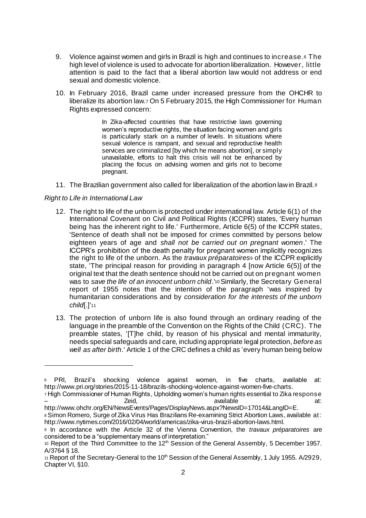- 9. Violence against women and girls in Brazil is high and continues to increase.<sup>6</sup> The high level of violence is used to advocate for abortion liberalization. However, little attention is paid to the fact that a liberal abortion law would not address or end sexual and domestic violence.
- 10. In February 2016, Brazil came under increased pressure from the OHCHR to liberalize its abortion law.<sup>7</sup> On 5 February 2015, the High Commissioner for Human Rights expressed concern:

In Zika-affected countries that have restrictive laws governing women's reproductive rights, the situation facing women and girls is particularly stark on a number of levels. In situations where sexual violence is rampant, and sexual and reproductive health services are criminalized [by which he means abortion], or simply unavailable, efforts to halt this crisis will not be enhanced by placing the focus on advising women and girls not to become pregnant.

11. The Brazilian government also called for liberalization of the abortion law in Brazil.<sup>8</sup>

## *Right to Life in International Law*

 $\overline{a}$ 

- 12. The right to life of the unborn is protected under international law. Article 6(1) of the International Covenant on Civil and Political Rights (ICCPR) states, 'Every human being has the inherent right to life.' Furthermore, Article 6(5) of the ICCPR states, 'Sentence of death shall not be imposed for crimes committed by persons below eighteen years of age and *shall not be carried out on pregnant women*.' The ICCPR's prohibition of the death penalty for pregnant women implicitly recognizes the right to life of the unborn. As the *travaux préparatoires*<sup>9</sup> of the ICCPR explicitly state, 'The principal reason for providing in paragraph 4 [now Article 6(5)] of the original text that the death sentence should not be carried out on pregnant women was to *save the life of an innocent unborn child*.'<sup>10</sup> Similarly, the Secretary General report of 1955 notes that the intention of the paragraph 'was inspired by humanitarian considerations and by *consideration for the interests of the unborn child*[.]'<sup>11</sup>
- 13. The protection of unborn life is also found through an ordinary reading of the language in the preamble of the Convention on the Rights of the Child (CRC). The preamble states, '[T]he child, by reason of his physical and mental immaturity, needs special safeguards and care, including appropriate legal protection, *before as well as after birth*.' Article 1 of the CRC defines a child as 'every human being below

<sup>6</sup> PRI, Brazil's shocking violence against women, in five charts, available at: http://www.pri.org/stories/2015-11-18/brazils-shocking-violence-against-women-five-charts.

<sup>7</sup> High Commissioner of Human Rights, Upholding women's human rights essential to Zika response<br>available ext: – Zeid, available at:

http://www.ohchr.org/EN/NewsEvents/Pages/DisplayNews.aspx?NewsID=17014&LangID=E. 8 Simon Romero, Surge of Zika Virus Has Brazilians Re-examining Strict Abortion Laws, available at: http://www.nytimes.com/2016/02/04/world/americas/zika-virus-brazil-abortion-laws.html.

<sup>9</sup> In accordance with the Article 32 of the Vienna Convention, the *travaux préparatoires* are considered to be a "supplementary means of interpretation."

<sup>10</sup> Report of the Third Committee to the 12<sup>th</sup> Session of the General Assembly, 5 December 1957. A/3764 § 18.

<sup>11</sup> Report of the Secretary-General to the 10<sup>th</sup> Session of the General Assembly, 1 July 1955. A/2929, Chapter VI, §10.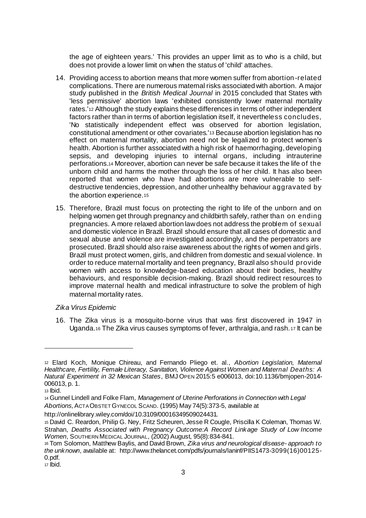the age of eighteen years.' This provides an upper limit as to who is a child, but does not provide a lower limit on when the status of 'child' attaches.

- 14. Providing access to abortion means that more women suffer from abortion-related complications. There are numerous maternal risks associated with abortion. A major study published in the *British Medical Journal* in 2015 concluded that States with 'less permissive' abortion laws 'exhibited consistently lower maternal mortality rates.'<sup>12</sup> Although the study explains these differences in terms of other independent factors rather than in terms of abortion legislation itself, it nevertheless concludes, 'No statistically independent effect was observed for abortion legislation, constitutional amendment or other covariates.'<sup>13</sup> Because abortion legislation has no effect on maternal mortality, abortion need not be legalized to protect women's health. Abortion is further associated with a high risk of haemorrhaging, developing sepsis, and developing injuries to internal organs, including intrauterine perforations.<sup>14</sup> Moreover, abortion can never be safe because it takes the life of the unborn child and harms the mother through the loss of her child. It has also been reported that women who have had abortions are more vulnerable to selfdestructive tendencies, depression, and other unhealthy behaviour aggravated by the abortion experience.<sup>15</sup>
- 15. Therefore, Brazil must focus on protecting the right to life of the unborn and on helping women get through pregnancy and childbirth safely, rather than on ending pregnancies. A more relaxed abortion law does not address the problem of sexual and domestic violence in Brazil. Brazil should ensure that all cases of domestic and sexual abuse and violence are investigated accordingly, and the perpetrators are prosecuted. Brazil should also raise awareness about the rights of women and girls. Brazil must protect women, girls, and children from domestic and sexual violence. In order to reduce maternal mortality and teen pregnancy, Brazil also should provide women with access to knowledge-based education about their bodies, healthy behaviours, and responsible decision-making. Brazil should redirect resources to improve maternal health and medical infrastructure to solve the problem of high maternal mortality rates.

#### *Zika Virus Epidemic*

16. The Zika virus is a mosquito-borne virus that was first discovered in 1947 in Uganda.<sup>16</sup> The Zika virus causes symptoms of fever, arthralgia, and rash.<sup>17</sup> It can be

l

<sup>12</sup> Elard Koch, Monique Chireau, and Fernando Pliego et. al., *Abortion Legislation, Maternal Healthcare, Fertility, Female Literacy, Sanitation, Violence Against Women and Maternal Deaths: A Natural Experiment in 32 Mexican States*, BMJ OPEN 2015:5 e006013, doi:10.1136/bmjopen-2014- 006013, p. 1.

<sup>13</sup> Ibid.

<sup>14</sup> Gunnel Lindell and Folke Flam, *Management of Uterine Perforations in Connection with Legal Abortions,*ACTA OBSTET GYNECOL SCAND. (1995) May 74(5):373-5, available at

http://onlinelibrary.wiley.com/doi/10.3109/00016349509024431.

<sup>15</sup> David C. Reardon, Philip G. Ney, Fritz Scheuren, Jesse R Cougle, Priscilla K Coleman, Thomas W. Strahan, *Deaths Associated with Pregnancy Outcome:A Record Linkage Study of Low Income Women*, SOUTHERN MEDICAL JOURNAL, (2002) August, 95(8):834-841.

<sup>16</sup> Tom Solomon, Matthew Baylis, and David Brown, *Zika virus and neurological disease- approach to the unknown*, available at: http://www.thelancet.com/pdfs/journals/laninf/PIIS1473-3099(16)00125- 0.pdf.

<sup>17</sup> Ibid.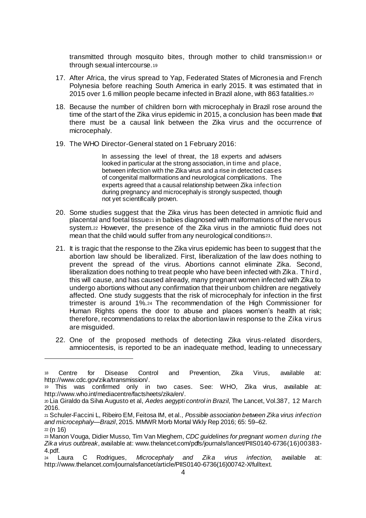transmitted through mosquito bites, through mother to child transmission<sup>18</sup> or through sexual intercourse.<sup>19</sup>

- 17. After Africa, the virus spread to Yap, Federated States of Micronesia and French Polynesia before reaching South America in early 2015. It was estimated that in 2015 over 1.6 million people became infected in Brazil alone, with 863 fatalities.<sup>20</sup>
- 18. Because the number of children born with microcephaly in Brazil rose around the time of the start of the Zika virus epidemic in 2015, a conclusion has been made that there must be a causal link between the Zika virus and the occurrence of microcephaly.
- 19. The WHO Director-General stated on 1 February 2016:

In assessing the level of threat, the 18 experts and advisers looked in particular at the strong association, in time and place, between infection with the Zika virus and a rise in detected cases of congenital malformations and neurological complications. The experts agreed that a causal relationship between Zika infection during pregnancy and microcephaly is strongly suspected, though not yet scientifically proven.

- 20. Some studies suggest that the Zika virus has been detected in amniotic fluid and placental and foetal tissue<sup>21</sup> in babies diagnosed with malformations of the nervous system.<sup>22</sup> However, the presence of the Zika virus in the amniotic fluid does not mean that the child would suffer from any neurological conditions23.
- 21. It is tragic that the response to the Zika virus epidemic has been to suggest that the abortion law should be liberalized. First, liberalization of the law does nothing to prevent the spread of the virus. Abortions cannot eliminate Zika. Second, liberalization does nothing to treat people who have been infected with Zika. Third , this will cause, and has caused already, many pregnant women infected with Zika to undergo abortions without any confirmation that their unborn children are negatively affected. One study suggests that the risk of microcephaly for infection in the first trimester is around 1%.<sup>24</sup> The recommendation of the High Commissioner for Human Rights opens the door to abuse and places women's health at risk; therefore, recommendations to relax the abortion law in response to the Zika virus are misguided.
- 22. One of the proposed methods of detecting Zika virus-related disorders, amniocentesis, is reported to be an inadequate method, leading to unnecessary

 $\overline{a}$ 

<sup>18</sup> Centre for Disease Control and Prevention, Zika Virus, available at: http://www.cdc.gov/zika/transmission/.

<sup>19</sup> This was confirmed only in two cases. See: WHO, Zika virus, available at: http://www.who.int/mediacentre/factsheets/zika/en/.

<sup>20</sup> Lia Giraldo da Silva Augusto et al, *Aedes aegypti control in Brazil*, The Lancet, Vol.387, 12 March 2016.

<sup>21</sup> Schuler-Faccini L, Ribeiro EM, Feitosa IM, et al., *Possible association between Zika virus infection and microcephaly—Brazil*, 2015. MMWR Morb Mortal Wkly Rep 2016; 65: 59–62.

<sup>22</sup> (n 16)

<sup>23</sup> Manon Vouga, Didier Musso, Tim Van Mieghem, *CDC guidelines for pregnant women during the Zika virus outbreak*, available at: www.thelancet.com/pdfs/journals/lancet/PIIS0140-6736(16)00383- 4.pdf.

<sup>24</sup> Laura C Rodrigues, *Microcephaly and Zika virus infection,* available at: http://www.thelancet.com/journals/lancet/article/PIIS0140-6736(16)00742-X/fulltext.